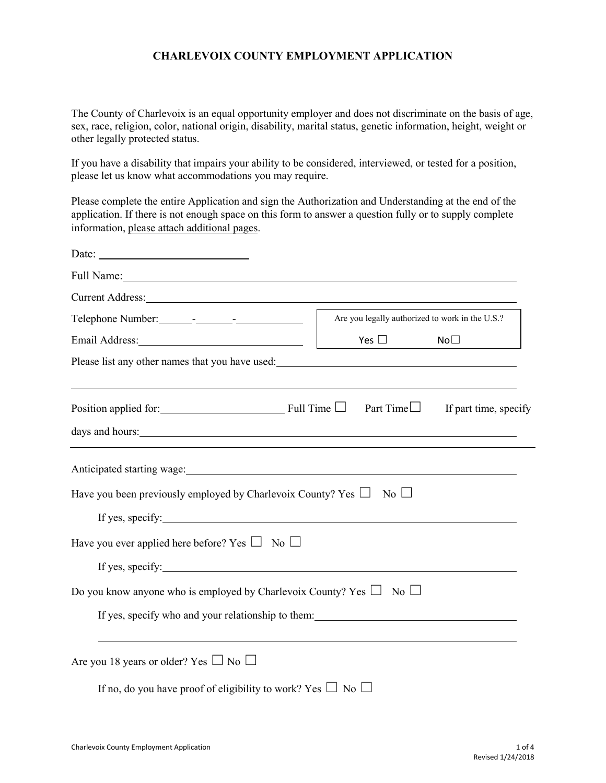## **CHARLEVOIX COUNTY EMPLOYMENT APPLICATION**

The County of Charlevoix is an equal opportunity employer and does not discriminate on the basis of age, sex, race, religion, color, national origin, disability, marital status, genetic information, height, weight or other legally protected status.

If you have a disability that impairs your ability to be considered, interviewed, or tested for a position, please let us know what accommodations you may require.

Please complete the entire Application and sign the Authorization and Understanding at the end of the application. If there is not enough space on this form to answer a question fully or to supply complete information, please attach additional pages.

| Date:                                                                                                                                                                                                                                                                                                        |                                                 |                     |                       |
|--------------------------------------------------------------------------------------------------------------------------------------------------------------------------------------------------------------------------------------------------------------------------------------------------------------|-------------------------------------------------|---------------------|-----------------------|
|                                                                                                                                                                                                                                                                                                              |                                                 |                     |                       |
| Current Address: No. 1998                                                                                                                                                                                                                                                                                    |                                                 |                     |                       |
|                                                                                                                                                                                                                                                                                                              | Are you legally authorized to work in the U.S.? |                     |                       |
| Email Address: No. 1996                                                                                                                                                                                                                                                                                      |                                                 | Yes $\square$       | No <sub>1</sub>       |
| Please list any other names that you have used: North and the same state of the state of the state of the state of the state of the state of the state of the state of the state of the state of the state of the state of the                                                                               |                                                 |                     |                       |
| Position applied for: Full Time □<br>days and hours: Note that the same state of the state of the state of the state of the state of the state of the state of the state of the state of the state of the state of the state of the state of the state of the state                                          |                                                 | Part Time $\square$ | If part time, specify |
| Have you been previously employed by Charlevoix County? Yes $\Box$<br>If yes, specify:<br>Have you ever applied here before? Yes $\Box$ No $\Box$<br>If yes, specify:<br>Do you know anyone who is employed by Charlevoix County? Yes $\Box$ No $\Box$<br>If yes, specify who and your relationship to them: |                                                 | $\overline{N_0}$    |                       |
| Are you 18 years or older? Yes $\Box$ No $\Box$<br>If no, do you have proof of eligibility to work? Yes $\Box$ No $\Box$                                                                                                                                                                                     |                                                 |                     |                       |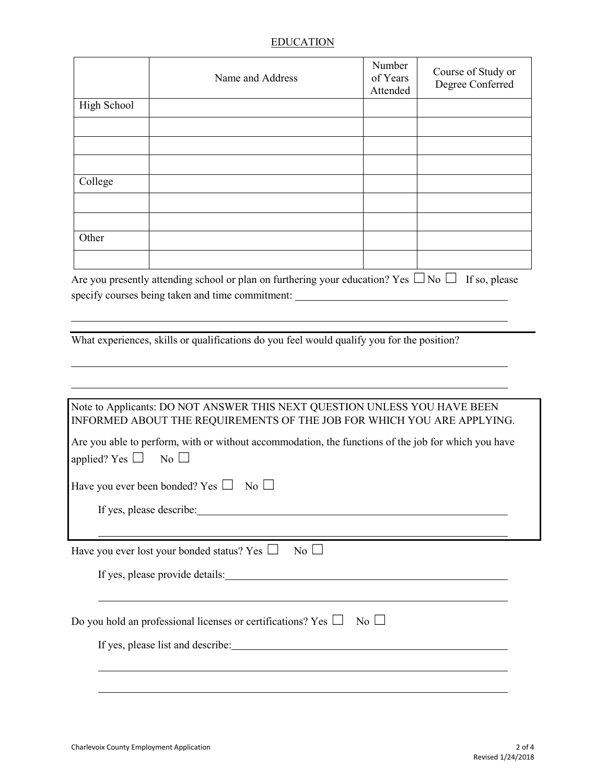## EDUCATION

|             | Name and Address | Number<br>of Years<br>Attended | Course of Study or<br>Degree Conferred |
|-------------|------------------|--------------------------------|----------------------------------------|
| High School |                  |                                |                                        |
|             |                  |                                |                                        |
|             |                  |                                |                                        |
|             |                  |                                |                                        |
| College     |                  |                                |                                        |
|             |                  |                                |                                        |
|             |                  |                                |                                        |
| Other       |                  |                                |                                        |
|             |                  |                                |                                        |

Are you presently attending school or plan on furthering your education? Yes  $\Box$  No  $\Box$  If so, please specify courses being taken and time commitment: \_\_\_\_\_\_\_\_\_\_\_\_\_\_\_\_\_\_\_\_\_\_\_\_\_\_\_\_\_\_\_\_

What experiences, skills or qualifications do you feel would qualify you for the position?

| Note to Applicants: DO NOT ANSWER THIS NEXT QUESTION UNLESS YOU HAVE BEEN<br>INFORMED ABOUT THE REQUIREMENTS OF THE JOB FOR WHICH YOU ARE APPLYING. |
|-----------------------------------------------------------------------------------------------------------------------------------------------------|
| Are you able to perform, with or without accommodation, the functions of the job for which you have<br>applied? Yes $\Box$ No $\Box$                |
| Have you ever been bonded? Yes $\Box$ No $\Box$                                                                                                     |
| If yes, please describe:                                                                                                                            |
|                                                                                                                                                     |
| $\overline{N_0}$<br>Have you ever lost your bonded status? Yes $\Box$                                                                               |
| If yes, please provide details:                                                                                                                     |
|                                                                                                                                                     |
| $\overline{N_0}$<br>Do you hold an professional licenses or certifications? Yes $\Box$                                                              |
| If yes, please list and describe:                                                                                                                   |
|                                                                                                                                                     |
|                                                                                                                                                     |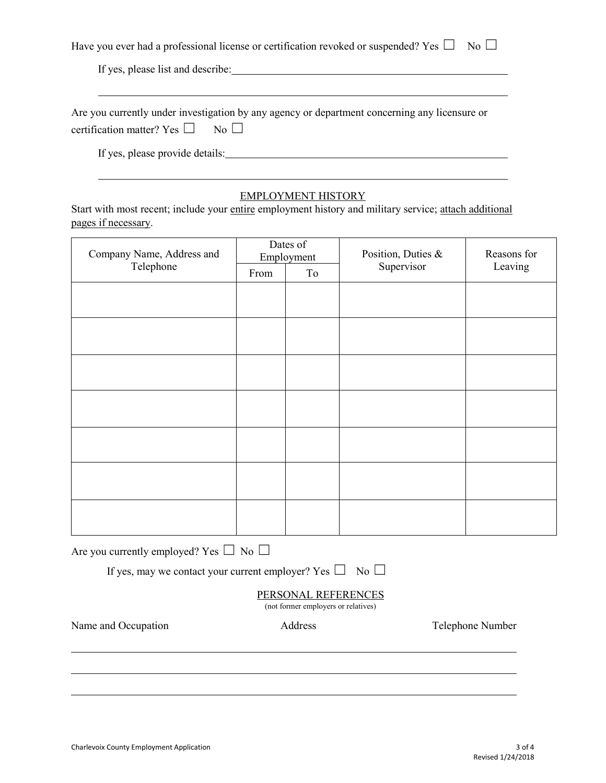|  | Have you ever had a professional license or certification revoked or suspended? Yes $\square$ No $\square$ |  |  |
|--|------------------------------------------------------------------------------------------------------------|--|--|
|  |                                                                                                            |  |  |

If yes, please list and describe:

|                                                  | Are you currently under investigation by any agency or department concerning any licensure or |
|--------------------------------------------------|-----------------------------------------------------------------------------------------------|
| certification matter? Yes $\square$ No $\square$ |                                                                                               |

If yes, please provide details:

## EMPLOYMENT HISTORY

Start with most recent; include your entire employment history and military service; attach additional pages if necessary.

| Company Name, Address and<br>Telephone                             | Dates of<br>Employment |         | Position, Duties & | Reasons for      |  |  |
|--------------------------------------------------------------------|------------------------|---------|--------------------|------------------|--|--|
|                                                                    | From                   | To      | Supervisor         | Leaving          |  |  |
|                                                                    |                        |         |                    |                  |  |  |
|                                                                    |                        |         |                    |                  |  |  |
|                                                                    |                        |         |                    |                  |  |  |
|                                                                    |                        |         |                    |                  |  |  |
|                                                                    |                        |         |                    |                  |  |  |
|                                                                    |                        |         |                    |                  |  |  |
|                                                                    |                        |         |                    |                  |  |  |
|                                                                    |                        |         |                    |                  |  |  |
|                                                                    |                        |         |                    |                  |  |  |
|                                                                    |                        |         |                    |                  |  |  |
|                                                                    |                        |         |                    |                  |  |  |
|                                                                    |                        |         |                    |                  |  |  |
|                                                                    |                        |         |                    |                  |  |  |
| Are you currently employed? Yes $\Box$ No $\Box$                   |                        |         |                    |                  |  |  |
| If yes, may we contact your current employer? Yes $\Box$ No $\Box$ |                        |         |                    |                  |  |  |
| PERSONAL REFERENCES<br>(not former employers or relatives)         |                        |         |                    |                  |  |  |
| Name and Occupation                                                |                        | Address |                    | Telephone Number |  |  |
|                                                                    |                        |         |                    |                  |  |  |